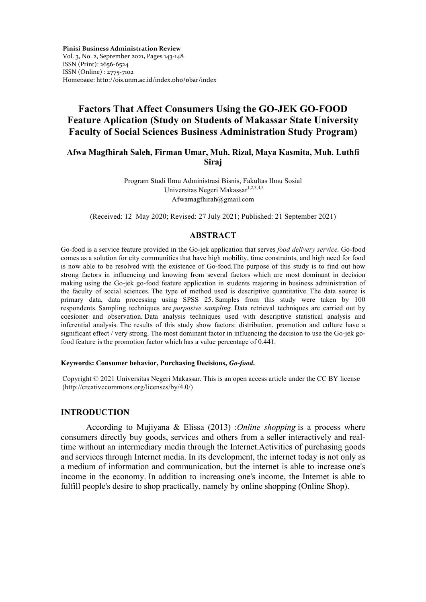**Pinisi Business Administration Review**  Vol. 3, No. 2, September 2021**,** Pages 143-148 ISSN (Print): 2656-6524 ISSN (Online) : 2775-7102 Homepage: http://ojs.unm.ac.id/index.php/pbar/index

# **Factors That Affect Consumers Using the GO-JEK GO-FOOD Feature Aplication (Study on Students of Makassar State University Faculty of Social Sciences Business Administration Study Program)**

# **Afwa Magfhirah Saleh, Firman Umar, Muh. Rizal, Maya Kasmita, Muh. Luthfi Siraj**

Program Studi Ilmu Administrasi Bisnis, Fakultas Ilmu Sosial Universitas Negeri Makassar<sup>1,2,3,4,5</sup> Afwamagfhirah@gmail.com

(Received: 12 May 2020; Revised: 27 July 2021; Published: 21 September 2021)

### **ABSTRACT**

Go-food is a service feature provided in the Go-jek application that serves *food delivery service.* Go-food comes as a solution for city communities that have high mobility, time constraints, and high need for food is now able to be resolved with the existence of Go-food.The purpose of this study is to find out how strong factors in influencing and knowing from several factors which are most dominant in decision making using the Go-jek go-food feature application in students majoring in business administration of the faculty of social sciences. The type of method used is descriptive quantitative. The data source is primary data, data processing using SPSS 25. Samples from this study were taken by 100 respondents. Sampling techniques are *purposive sampling.* Data retrieval techniques are carried out by coesioner and observation. Data analysis techniques used with descriptive statistical analysis and inferential analysis. The results of this study show factors: distribution, promotion and culture have a significant effect / very strong. The most dominant factor in influencing the decision to use the Go-jek gofood feature is the promotion factor which has a value percentage of 0.441.

#### **Keywords: Consumer behavior, Purchasing Decisions,** *Go-food***.**

Copyright © 2021 Universitas Negeri Makassar. This is an open access article under the CC BY license (http://creativecommons.org/licenses/by/4.0/)

# **INTRODUCTION**

According to Mujiyana & Elissa (2013) :*Online shopping* is a process where consumers directly buy goods, services and others from a seller interactively and realtime without an intermediary media through the Internet.Activities of purchasing goods and services through Internet media. In its development, the internet today is not only as a medium of information and communication, but the internet is able to increase one's income in the economy. In addition to increasing one's income, the Internet is able to fulfill people's desire to shop practically, namely by online shopping (Online Shop).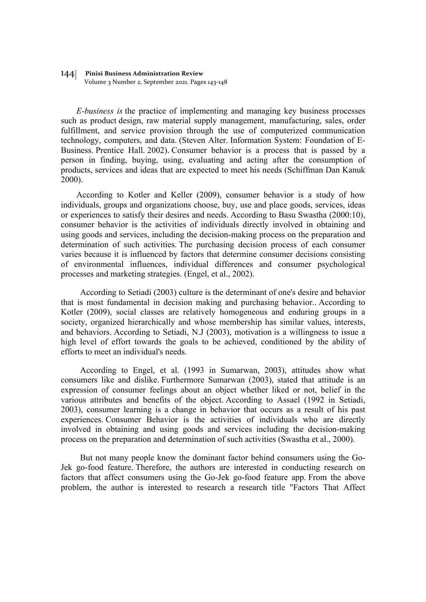# 144 **Pinisi Business Administration Review**

Volume 3 Number 2, September 2021. Pages 143-148

*E-business is* the practice of implementing and managing key business processes such as product design, raw material supply management, manufacturing, sales, order fulfillment, and service provision through the use of computerized communication technology, computers, and data. (Steven Alter. Information System: Foundation of E-Business. Prentice Hall. 2002). Consumer behavior is a process that is passed by a person in finding, buying, using, evaluating and acting after the consumption of products, services and ideas that are expected to meet his needs (Schiffman Dan Kanuk 2000).

According to Kotler and Keller (2009), consumer behavior is a study of how individuals, groups and organizations choose, buy, use and place goods, services, ideas or experiences to satisfy their desires and needs. According to Basu Swastha (2000:10), consumer behavior is the activities of individuals directly involved in obtaining and using goods and services, including the decision-making process on the preparation and determination of such activities. The purchasing decision process of each consumer varies because it is influenced by factors that determine consumer decisions consisting of environmental influences, individual differences and consumer psychological processes and marketing strategies. (Engel, et al., 2002).

According to Setiadi (2003) culture is the determinant of one's desire and behavior that is most fundamental in decision making and purchasing behavior.. According to Kotler (2009), social classes are relatively homogeneous and enduring groups in a society, organized hierarchically and whose membership has similar values, interests, and behaviors. According to Setiadi, N.J (2003), motivation is a willingness to issue a high level of effort towards the goals to be achieved, conditioned by the ability of efforts to meet an individual's needs.

According to Engel, et al. (1993 in Sumarwan, 2003), attitudes show what consumers like and dislike. Furthermore Sumarwan (2003), stated that attitude is an expression of consumer feelings about an object whether liked or not, belief in the various attributes and benefits of the object. According to Assael (1992 in Setiadi, 2003), consumer learning is a change in behavior that occurs as a result of his past experiences. Consumer Behavior is the activities of individuals who are directly involved in obtaining and using goods and services including the decision-making process on the preparation and determination of such activities (Swastha et al., 2000).

But not many people know the dominant factor behind consumers using the Go-Jek go-food feature. Therefore, the authors are interested in conducting research on factors that affect consumers using the Go-Jek go-food feature app. From the above problem, the author is interested to research a research title "Factors That Affect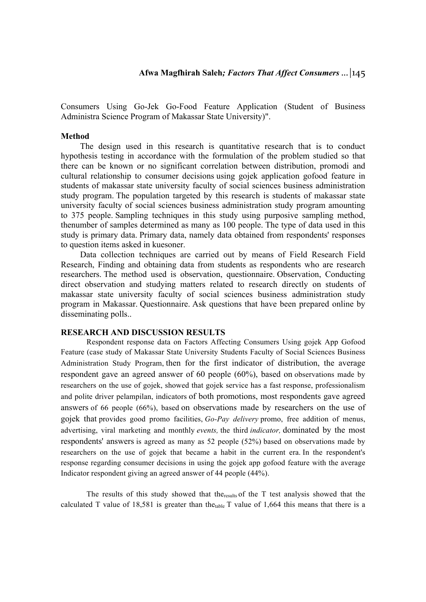Consumers Using Go-Jek Go-Food Feature Application (Student of Business Administra Science Program of Makassar State University)".

### **Method**

The design used in this research is quantitative research that is to conduct hypothesis testing in accordance with the formulation of the problem studied so that there can be known or no significant correlation between distribution, promodi and cultural relationship to consumer decisions using gojek application gofood feature in students of makassar state university faculty of social sciences business administration study program. The population targeted by this research is students of makassar state university faculty of social sciences business administration study program amounting to 375 people. Sampling techniques in this study using purposive sampling method, thenumber of samples determined as many as 100 people. The type of data used in this study is primary data. Primary data, namely data obtained from respondents' responses to question items asked in kuesoner.

Data collection techniques are carried out by means of Field Research Field Research, Finding and obtaining data from students as respondents who are research researchers. The method used is observation, questionnaire. Observation, Conducting direct observation and studying matters related to research directly on students of makassar state university faculty of social sciences business administration study program in Makassar. Questionnaire. Ask questions that have been prepared online by disseminating polls..

### **RESEARCH AND DISCUSSION RESULTS**

Respondent response data on Factors Affecting Consumers Using gojek App Gofood Feature (case study of Makassar State University Students Faculty of Social Sciences Business Administration Study Program, then for the first indicator of distribution, the average respondent gave an agreed answer of 60 people (60%), based on observations made by researchers on the use of gojek, showed that gojek service has a fast response, professionalism and polite driver pelampilan, indicators of both promotions, most respondents gave agreed answers of 66 people (66%), based on observations made by researchers on the use of gojek that provides good promo facilities, *Go-Pay delivery* promo, free addition of menus, advertising, viral marketing and monthly *events,* the third *indicator,* dominated by the most respondents' answers is agreed as many as 52 people (52%) based on observations made by researchers on the use of gojek that became a habit in the current era. In the respondent's response regarding consumer decisions in using the gojek app gofood feature with the average Indicator respondent giving an agreed answer of 44 people (44%).

The results of this study showed that the results of the  $T$  test analysis showed that the calculated T value of 18,581 is greater than the<sub>table</sub> T value of 1,664 this means that there is a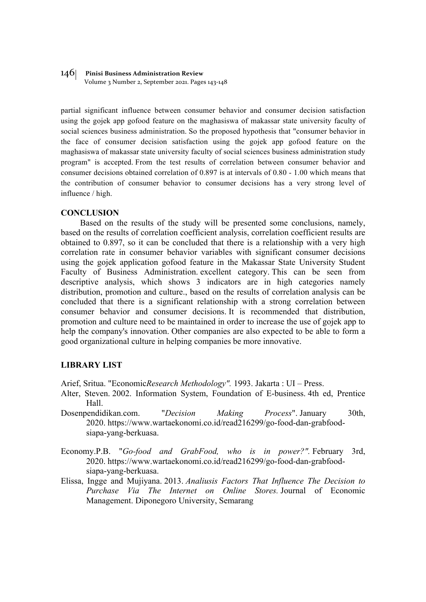#### 146 **Pinisi Business Administration Review**

Volume 3 Number 2, September 2021. Pages 143-148

partial significant influence between consumer behavior and consumer decision satisfaction using the gojek app gofood feature on the maghasiswa of makassar state university faculty of social sciences business administration. So the proposed hypothesis that "consumer behavior in the face of consumer decision satisfaction using the gojek app gofood feature on the maghasiswa of makassar state university faculty of social sciences business administration study program" is accepted. From the test results of correlation between consumer behavior and consumer decisions obtained correlation of 0.897 is at intervals of 0.80 - 1.00 which means that the contribution of consumer behavior to consumer decisions has a very strong level of influence / high.

#### **CONCLUSION**

Based on the results of the study will be presented some conclusions, namely, based on the results of correlation coefficient analysis, correlation coefficient results are obtained to 0.897, so it can be concluded that there is a relationship with a very high correlation rate in consumer behavior variables with significant consumer decisions using the gojek application gofood feature in the Makassar State University Student Faculty of Business Administration. excellent category. This can be seen from descriptive analysis, which shows 3 indicators are in high categories namely distribution, promotion and culture., based on the results of correlation analysis can be concluded that there is a significant relationship with a strong correlation between consumer behavior and consumer decisions. It is recommended that distribution, promotion and culture need to be maintained in order to increase the use of gojek app to help the company's innovation. Other companies are also expected to be able to form a good organizational culture in helping companies be more innovative.

# **LIBRARY LIST**

Arief, Sritua. "Economic*Research Methodology".* 1993. Jakarta : UI – Press.

- Alter, Steven. 2002. Information System, Foundation of E-business. 4th ed, Prentice Hall.
- Dosenpendidikan.com. "*Decision Making Process*". January 30th, 2020. https://www.wartaekonomi.co.id/read216299/go-food-dan-grabfoodsiapa-yang-berkuasa.
- Economy.P.B. "*Go-food and GrabFood, who is in power?".* February 3rd, 2020. https://www.wartaekonomi.co.id/read216299/go-food-dan-grabfoodsiapa-yang-berkuasa.
- Elissa, Ingge and Mujiyana. 2013. *Analiusis Factors That Influence The Decision to Purchase Via The Internet on Online Stores.* Journal of Economic Management. Diponegoro University, Semarang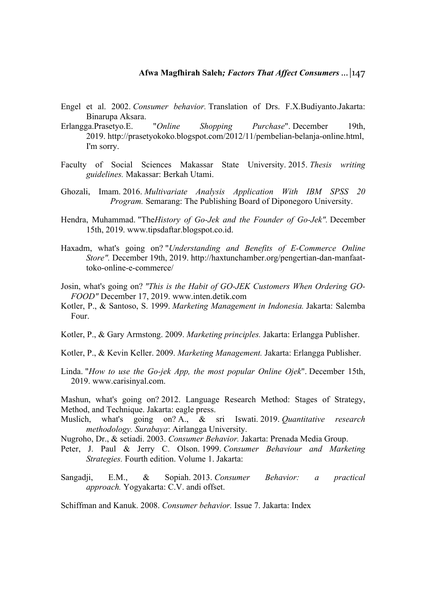- Engel et al. 2002. *Consumer behavior.* Translation of Drs. F.X.Budiyanto.Jakarta: Binarupa Aksara.
- Erlangga.Prasetyo.E. "*Online Shopping Purchase*". December 19th, 2019. http://prasetyokoko.blogspot.com/2012/11/pembelian-belanja-online.html, I'm sorry.
- Faculty of Social Sciences Makassar State University. 2015. *Thesis writing guidelines.* Makassar: Berkah Utami.
- Ghozali, Imam. 2016. *Multivariate Analysis Application With IBM SPSS 20 Program.* Semarang: The Publishing Board of Diponegoro University.
- Hendra, Muhammad. "The*History of Go-Jek and the Founder of Go-Jek".* December 15th, 2019. www.tipsdaftar.blogspot.co.id.
- Haxadm, what's going on? "*Understanding and Benefits of E-Commerce Online Store".* December 19th, 2019. http://haxtunchamber.org/pengertian-dan-manfaattoko-online-e-commerce/
- Josin, what's going on? *"This is the Habit of GO-JEK Customers When Ordering GO-FOOD"* December 17, 2019. www.inten.detik.com
- Kotler, P., & Santoso, S. 1999. *Marketing Management in Indonesia.* Jakarta: Salemba Four.
- Kotler, P., & Gary Armstong. 2009. *Marketing principles.* Jakarta: Erlangga Publisher.
- Kotler, P., & Kevin Keller. 2009. *Marketing Management.* Jakarta: Erlangga Publisher.
- Linda. "*How to use the Go-jek App, the most popular Online Ojek*". December 15th, 2019. www.carisinyal.com.

Mashun, what's going on? 2012. Language Research Method: Stages of Strategy, Method, and Technique. Jakarta: eagle press.

- Muslich, what's going on? A., & sri Iswati. 2019. *Quantitative research methodology. Surabaya*: Airlangga University.
- Nugroho, Dr., & setiadi. 2003. *Consumer Behavior.* Jakarta: Prenada Media Group.
- Peter, J. Paul & Jerry C. Olson. 1999. *Consumer Behaviour and Marketing Strategies.* Fourth edition. Volume 1. Jakarta:
- Sangadji, E.M., & Sopiah. 2013. *Consumer Behavior: a practical approach.* Yogyakarta: C.V. andi offset.

Schiffman and Kanuk. 2008. *Consumer behavior.* Issue 7. Jakarta: Index